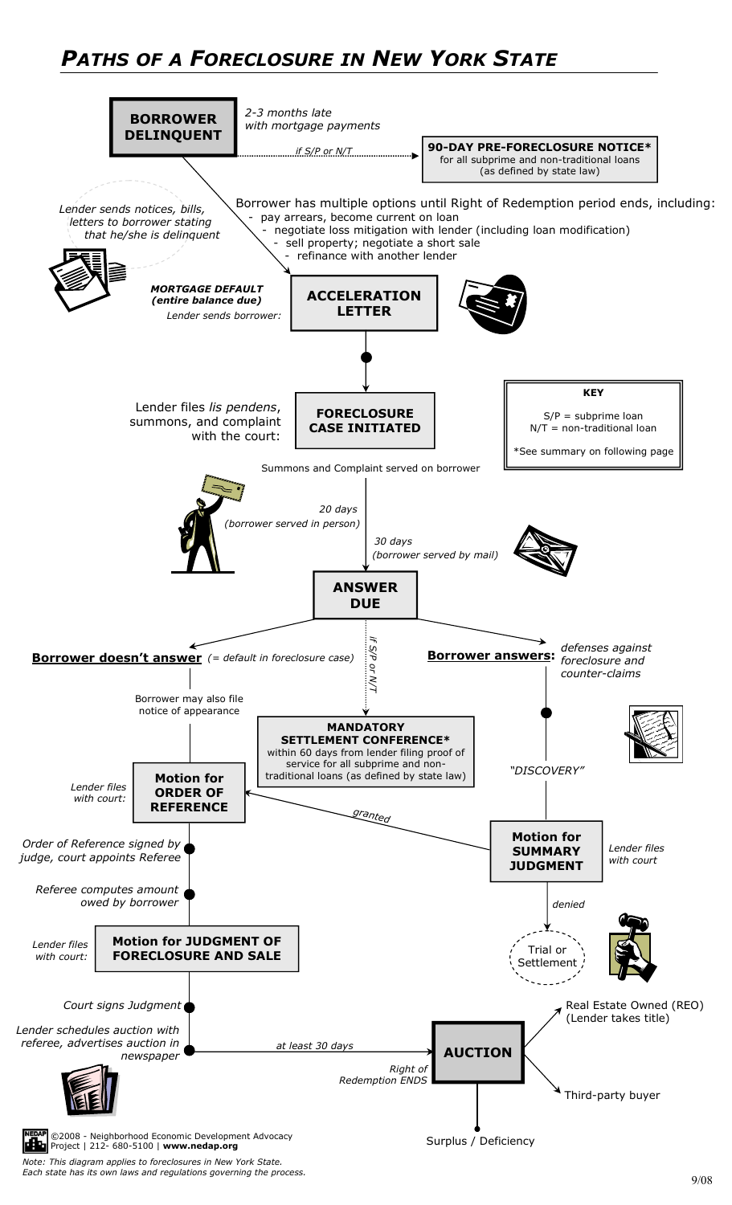# *PATHS OF A FORECLOSURE IN NEW YORK STATE*

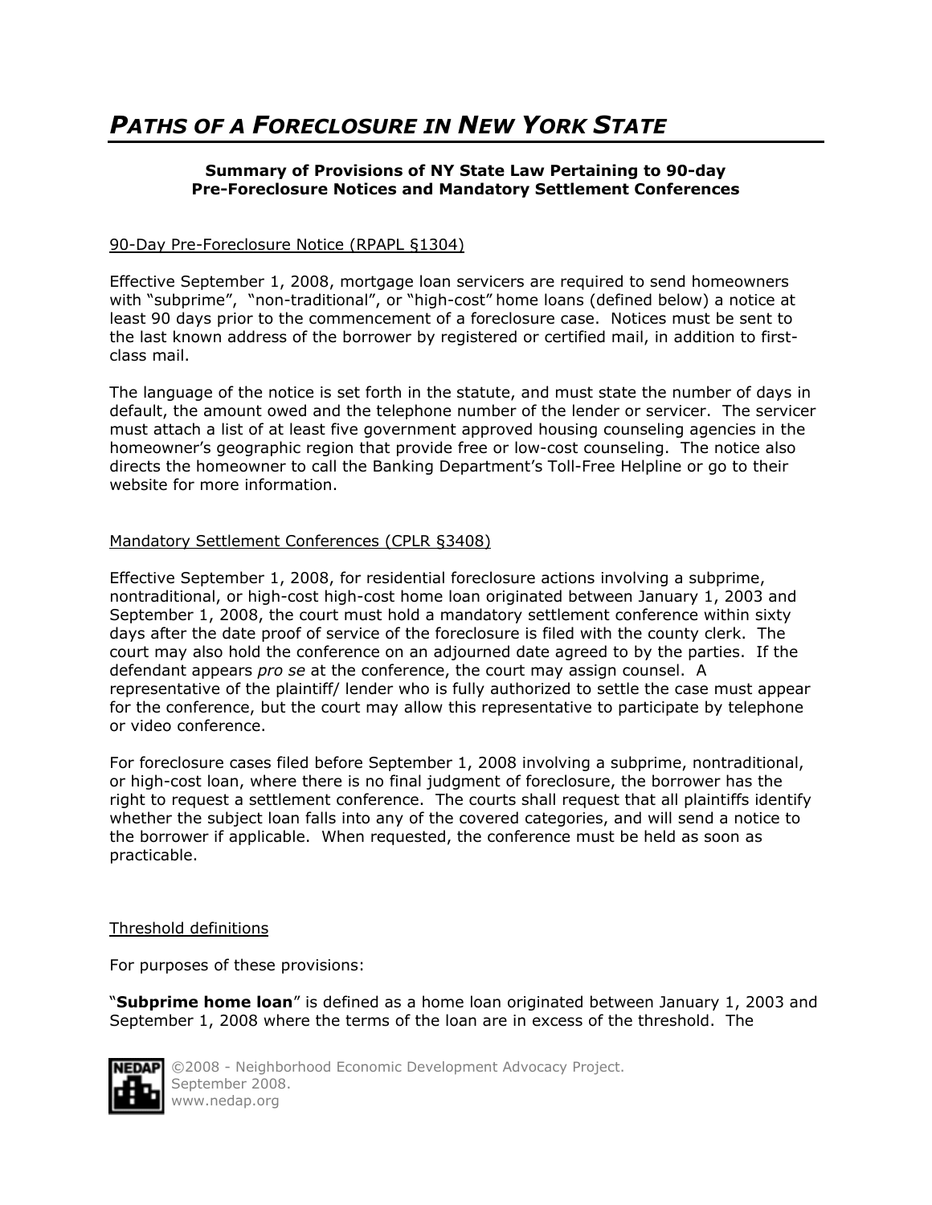## *PATHS OF A FORECLOSURE IN NEW YORK STATE*

#### **Summary of Provisions of NY State Law Pertaining to 90-day Pre-Foreclosure Notices and Mandatory Settlement Conferences**

#### 90-Day Pre-Foreclosure Notice (RPAPL §1304)

Effective September 1, 2008, mortgage loan servicers are required to send homeowners with "subprime", "non-traditional", or "high-cost" home loans (defined below) a notice at least 90 days prior to the commencement of a foreclosure case. Notices must be sent to the last known address of the borrower by registered or certified mail, in addition to firstclass mail.

The language of the notice is set forth in the statute, and must state the number of days in default, the amount owed and the telephone number of the lender or servicer. The servicer must attach a list of at least five government approved housing counseling agencies in the homeowner's geographic region that provide free or low-cost counseling. The notice also directs the homeowner to call the Banking Department's Toll-Free Helpline or go to their website for more information.

#### Mandatory Settlement Conferences (CPLR §3408)

Effective September 1, 2008, for residential foreclosure actions involving a subprime, nontraditional, or high-cost high-cost home loan originated between January 1, 2003 and September 1, 2008, the court must hold a mandatory settlement conference within sixty days after the date proof of service of the foreclosure is filed with the county clerk. The court may also hold the conference on an adjourned date agreed to by the parties. If the defendant appears *pro se* at the conference, the court may assign counsel. A representative of the plaintiff/ lender who is fully authorized to settle the case must appear for the conference, but the court may allow this representative to participate by telephone or video conference.

For foreclosure cases filed before September 1, 2008 involving a subprime, nontraditional, or high-cost loan, where there is no final judgment of foreclosure, the borrower has the right to request a settlement conference. The courts shall request that all plaintiffs identify whether the subject loan falls into any of the covered categories, and will send a notice to the borrower if applicable. When requested, the conference must be held as soon as practicable.

#### Threshold definitions

For purposes of these provisions:

"**Subprime home loan**" is defined as a home loan originated between January 1, 2003 and September 1, 2008 where the terms of the loan are in excess of the threshold. The



©2008 - Neighborhood Economic Development Advocacy Project. September 2008. www.nedap.org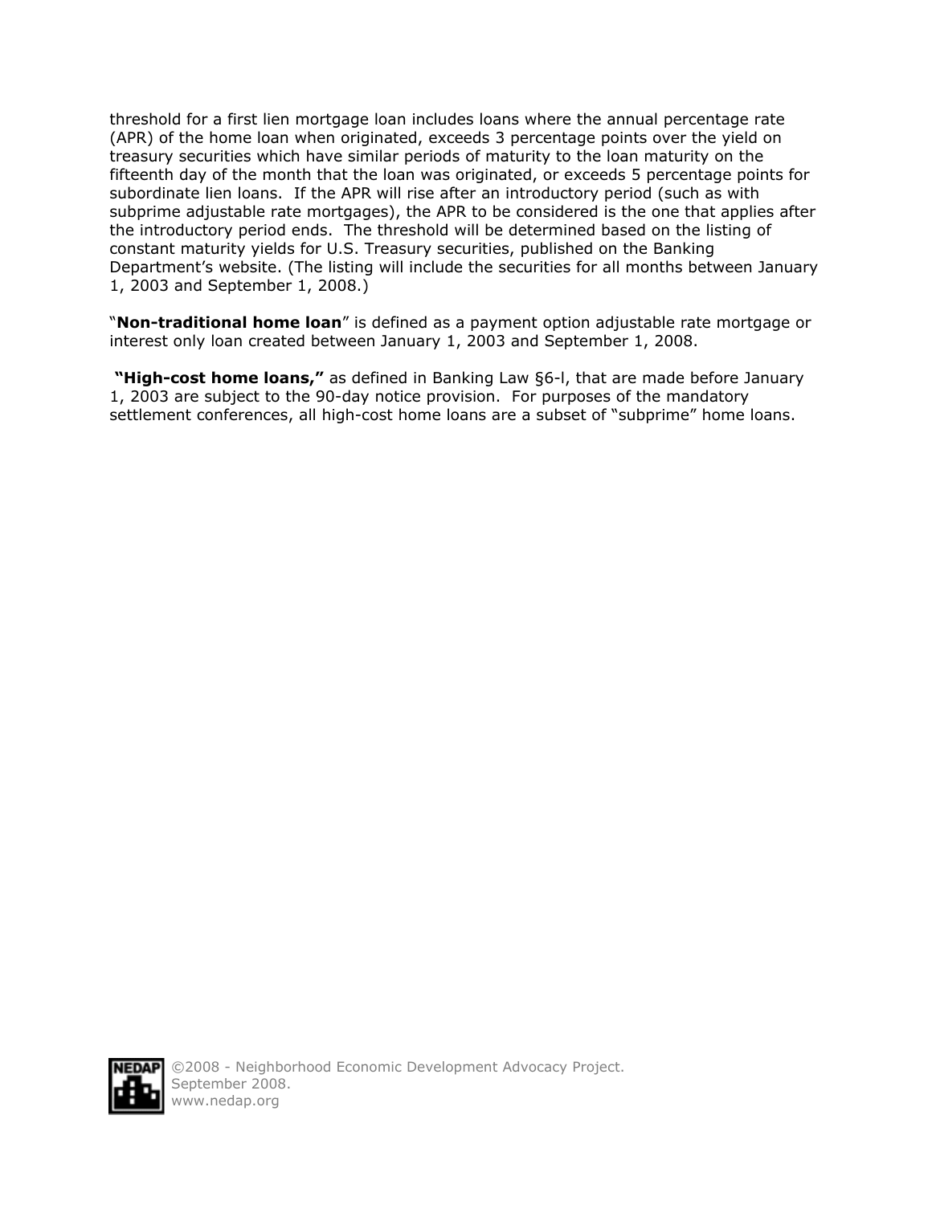threshold for a first lien mortgage loan includes loans where the annual percentage rate (APR) of the home loan when originated, exceeds 3 percentage points over the yield on treasury securities which have similar periods of maturity to the loan maturity on the fifteenth day of the month that the loan was originated, or exceeds 5 percentage points for subordinate lien loans. If the APR will rise after an introductory period (such as with subprime adjustable rate mortgages), the APR to be considered is the one that applies after the introductory period ends. The threshold will be determined based on the listing of constant maturity yields for U.S. Treasury securities, published on the Banking Department's website. (The listing will include the securities for all months between January 1, 2003 and September 1, 2008.)

"**Non-traditional home loan**" is defined as a payment option adjustable rate mortgage or interest only loan created between January 1, 2003 and September 1, 2008.

 **"High-cost home loans,"** as defined in Banking Law §6-l, that are made before January 1, 2003 are subject to the 90-day notice provision. For purposes of the mandatory settlement conferences, all high-cost home loans are a subset of "subprime" home loans.

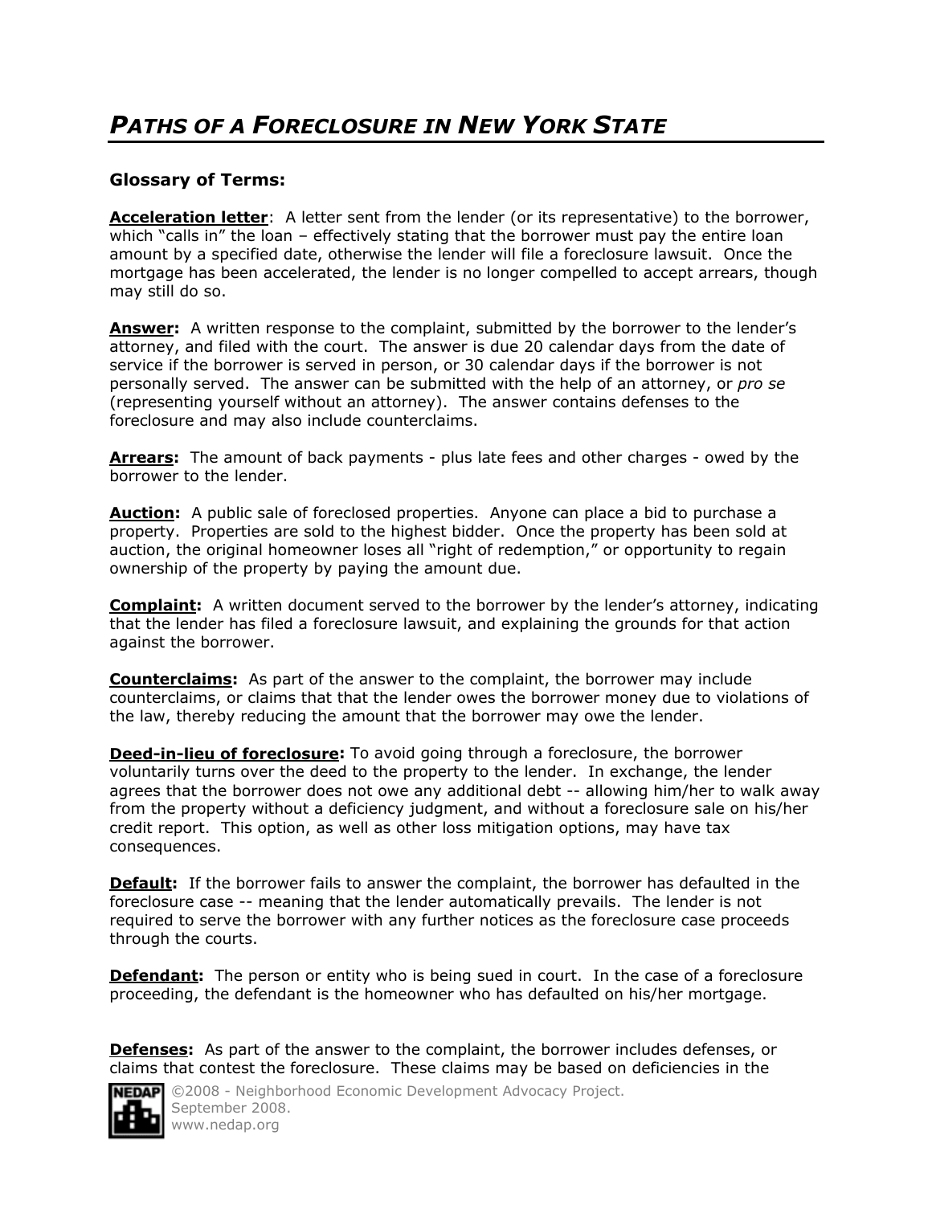### **Glossary of Terms:**

Acceleration letter: A letter sent from the lender (or its representative) to the borrower, which "calls in" the loan – effectively stating that the borrower must pay the entire loan amount by a specified date, otherwise the lender will file a foreclosure lawsuit. Once the mortgage has been accelerated, the lender is no longer compelled to accept arrears, though may still do so.

**Answer:** A written response to the complaint, submitted by the borrower to the lender's attorney, and filed with the court. The answer is due 20 calendar days from the date of service if the borrower is served in person, or 30 calendar days if the borrower is not personally served. The answer can be submitted with the help of an attorney, or *pro se*  (representing yourself without an attorney). The answer contains defenses to the foreclosure and may also include counterclaims.

**Arrears:** The amount of back payments - plus late fees and other charges - owed by the borrower to the lender.

**Auction:** A public sale of foreclosed properties. Anyone can place a bid to purchase a property. Properties are sold to the highest bidder. Once the property has been sold at auction, the original homeowner loses all "right of redemption," or opportunity to regain ownership of the property by paying the amount due.

**Complaint:** A written document served to the borrower by the lender's attorney, indicating that the lender has filed a foreclosure lawsuit, and explaining the grounds for that action against the borrower.

**Counterclaims:** As part of the answer to the complaint, the borrower may include counterclaims, or claims that that the lender owes the borrower money due to violations of the law, thereby reducing the amount that the borrower may owe the lender.

**Deed-in-lieu of foreclosure:** To avoid going through a foreclosure, the borrower voluntarily turns over the deed to the property to the lender. In exchange, the lender agrees that the borrower does not owe any additional debt -- allowing him/her to walk away from the property without a deficiency judgment, and without a foreclosure sale on his/her credit report. This option, as well as other loss mitigation options, may have tax consequences.

**Default:** If the borrower fails to answer the complaint, the borrower has defaulted in the foreclosure case -- meaning that the lender automatically prevails. The lender is not required to serve the borrower with any further notices as the foreclosure case proceeds through the courts.

**Defendant:** The person or entity who is being sued in court. In the case of a foreclosure proceeding, the defendant is the homeowner who has defaulted on his/her mortgage.

**Defenses:** As part of the answer to the complaint, the borrower includes defenses, or claims that contest the foreclosure. These claims may be based on deficiencies in the



**NEDAP** ©2008 - Neighborhood Economic Development Advocacy Project. September 2008. www.nedap.org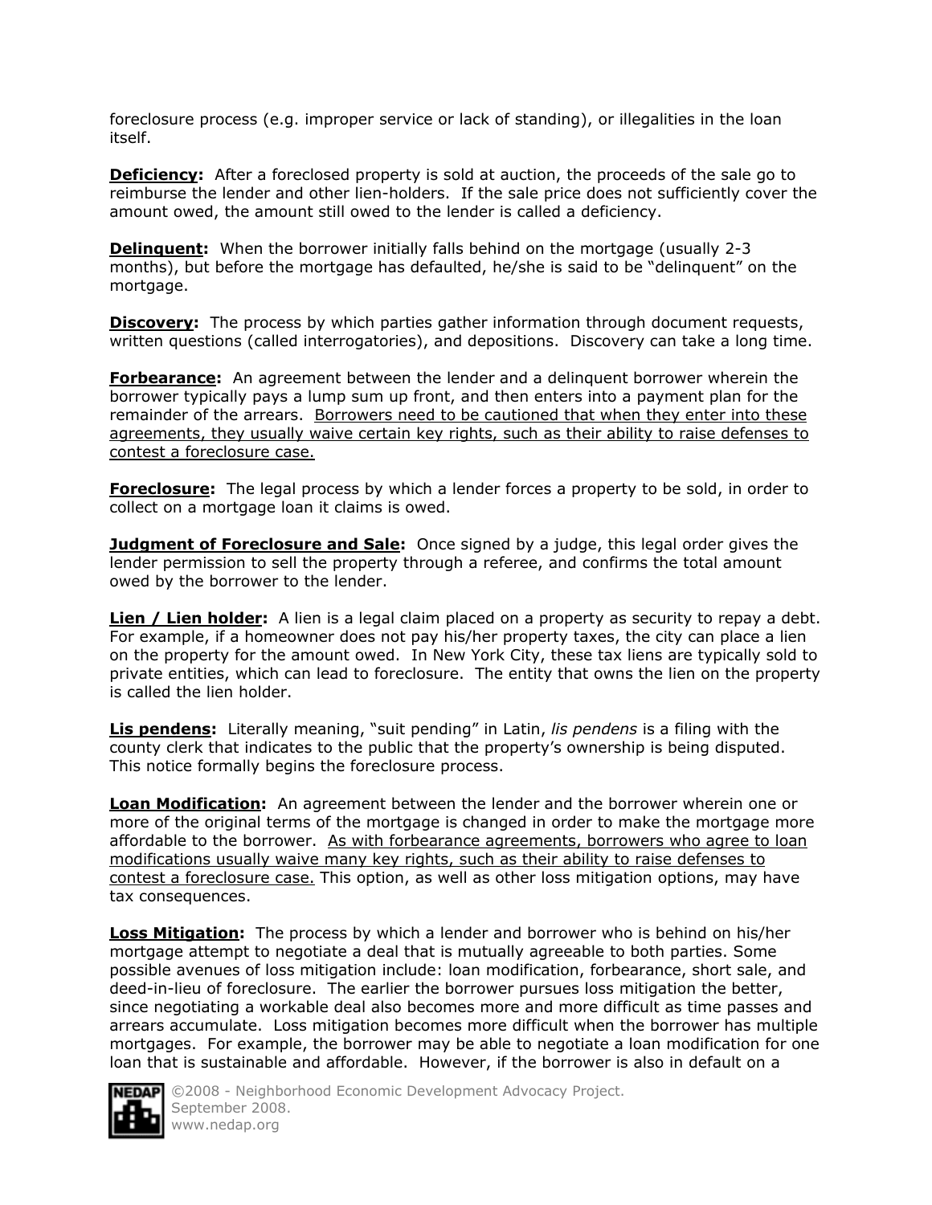foreclosure process (e.g. improper service or lack of standing), or illegalities in the loan itself.

**Deficiency:** After a foreclosed property is sold at auction, the proceeds of the sale go to reimburse the lender and other lien-holders. If the sale price does not sufficiently cover the amount owed, the amount still owed to the lender is called a deficiency.

**Delinquent:** When the borrower initially falls behind on the mortgage (usually 2-3 months), but before the mortgage has defaulted, he/she is said to be "delinquent" on the mortgage.

**Discovery:** The process by which parties gather information through document requests, written questions (called interrogatories), and depositions. Discovery can take a long time.

**Forbearance:** An agreement between the lender and a delinquent borrower wherein the borrower typically pays a lump sum up front, and then enters into a payment plan for the remainder of the arrears. Borrowers need to be cautioned that when they enter into these agreements, they usually waive certain key rights, such as their ability to raise defenses to contest a foreclosure case.

**Foreclosure:** The legal process by which a lender forces a property to be sold, in order to collect on a mortgage loan it claims is owed.

**Judgment of Foreclosure and Sale:** Once signed by a judge, this legal order gives the lender permission to sell the property through a referee, and confirms the total amount owed by the borrower to the lender.

**Lien / Lien holder:** A lien is a legal claim placed on a property as security to repay a debt. For example, if a homeowner does not pay his/her property taxes, the city can place a lien on the property for the amount owed. In New York City, these tax liens are typically sold to private entities, which can lead to foreclosure. The entity that owns the lien on the property is called the lien holder.

**Lis pendens:** Literally meaning, "suit pending" in Latin, *lis pendens* is a filing with the county clerk that indicates to the public that the property's ownership is being disputed. This notice formally begins the foreclosure process.

**Loan Modification:** An agreement between the lender and the borrower wherein one or more of the original terms of the mortgage is changed in order to make the mortgage more affordable to the borrower. As with forbearance agreements, borrowers who agree to loan modifications usually waive many key rights, such as their ability to raise defenses to contest a foreclosure case. This option, as well as other loss mitigation options, may have tax consequences.

**Loss Mitigation:** The process by which a lender and borrower who is behind on his/her mortgage attempt to negotiate a deal that is mutually agreeable to both parties. Some possible avenues of loss mitigation include: loan modification, forbearance, short sale, and deed-in-lieu of foreclosure. The earlier the borrower pursues loss mitigation the better, since negotiating a workable deal also becomes more and more difficult as time passes and arrears accumulate. Loss mitigation becomes more difficult when the borrower has multiple mortgages. For example, the borrower may be able to negotiate a loan modification for one loan that is sustainable and affordable. However, if the borrower is also in default on a



**NEDAPI** ©2008 - Neighborhood Economic Development Advocacy Project. September 2008. www.nedap.org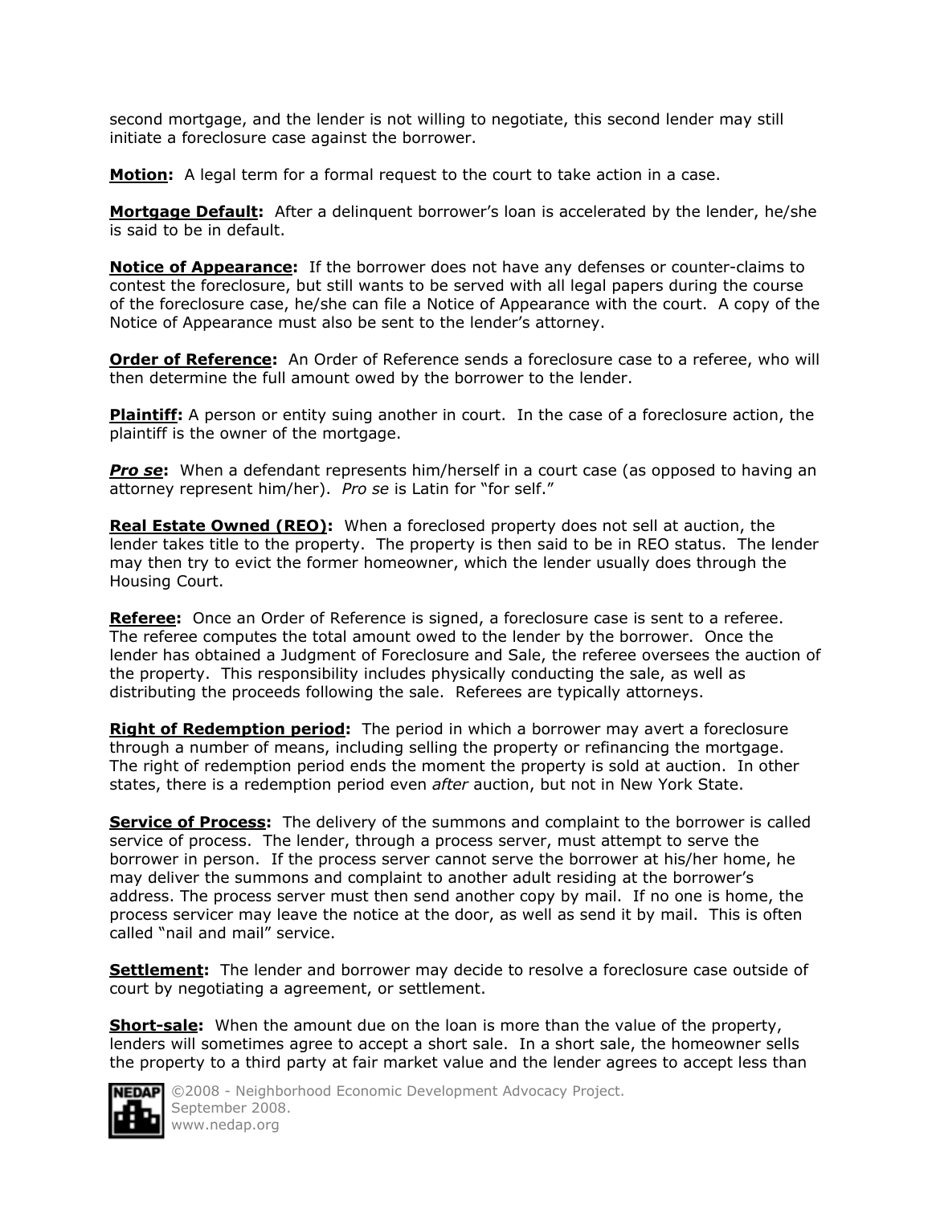second mortgage, and the lender is not willing to negotiate, this second lender may still initiate a foreclosure case against the borrower.

**Motion:** A legal term for a formal request to the court to take action in a case.

**Mortgage Default:** After a delinquent borrower's loan is accelerated by the lender, he/she is said to be in default.

**Notice of Appearance:** If the borrower does not have any defenses or counter-claims to contest the foreclosure, but still wants to be served with all legal papers during the course of the foreclosure case, he/she can file a Notice of Appearance with the court. A copy of the Notice of Appearance must also be sent to the lender's attorney.

**Order of Reference:** An Order of Reference sends a foreclosure case to a referee, who will then determine the full amount owed by the borrower to the lender.

**Plaintiff:** A person or entity suing another in court. In the case of a foreclosure action, the plaintiff is the owner of the mortgage.

**Pro se:** When a defendant represents him/herself in a court case (as opposed to having an attorney represent him/her). *Pro se* is Latin for "for self."

**Real Estate Owned (REO):** When a foreclosed property does not sell at auction, the lender takes title to the property. The property is then said to be in REO status. The lender may then try to evict the former homeowner, which the lender usually does through the Housing Court.

Referee: Once an Order of Reference is signed, a foreclosure case is sent to a referee. The referee computes the total amount owed to the lender by the borrower. Once the lender has obtained a Judgment of Foreclosure and Sale, the referee oversees the auction of the property. This responsibility includes physically conducting the sale, as well as distributing the proceeds following the sale. Referees are typically attorneys.

**Right of Redemption period:** The period in which a borrower may avert a foreclosure through a number of means, including selling the property or refinancing the mortgage. The right of redemption period ends the moment the property is sold at auction. In other states, there is a redemption period even *after* auction, but not in New York State.

**Service of Process:** The delivery of the summons and complaint to the borrower is called service of process. The lender, through a process server, must attempt to serve the borrower in person. If the process server cannot serve the borrower at his/her home, he may deliver the summons and complaint to another adult residing at the borrower's address. The process server must then send another copy by mail. If no one is home, the process servicer may leave the notice at the door, as well as send it by mail. This is often called "nail and mail" service.

**Settlement:** The lender and borrower may decide to resolve a foreclosure case outside of court by negotiating a agreement, or settlement.

**Short-sale:** When the amount due on the loan is more than the value of the property, lenders will sometimes agree to accept a short sale. In a short sale, the homeowner sells the property to a third party at fair market value and the lender agrees to accept less than



**NEDAP** ©2008 - Neighborhood Economic Development Advocacy Project. September 2008. www.nedap.org